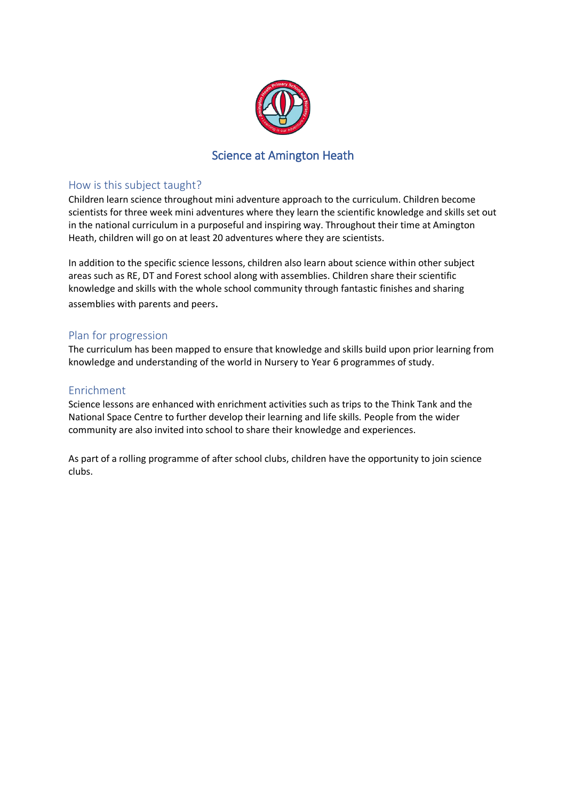

## Science at Amington Heath

#### How is this subject taught?

Children learn science throughout mini adventure approach to the curriculum. Children become scientists for three week mini adventures where they learn the scientific knowledge and skills set out in the national curriculum in a purposeful and inspiring way. Throughout their time at Amington Heath, children will go on at least 20 adventures where they are scientists.

In addition to the specific science lessons, children also learn about science within other subject areas such as RE, DT and Forest school along with assemblies. Children share their scientific knowledge and skills with the whole school community through fantastic finishes and sharing assemblies with parents and peers.

### Plan for progression

The curriculum has been mapped to ensure that knowledge and skills build upon prior learning from knowledge and understanding of the world in Nursery to Year 6 programmes of study.

### Enrichment

Science lessons are enhanced with enrichment activities such as trips to the Think Tank and the National Space Centre to further develop their learning and life skills. People from the wider community are also invited into school to share their knowledge and experiences.

As part of a rolling programme of after school clubs, children have the opportunity to join science clubs.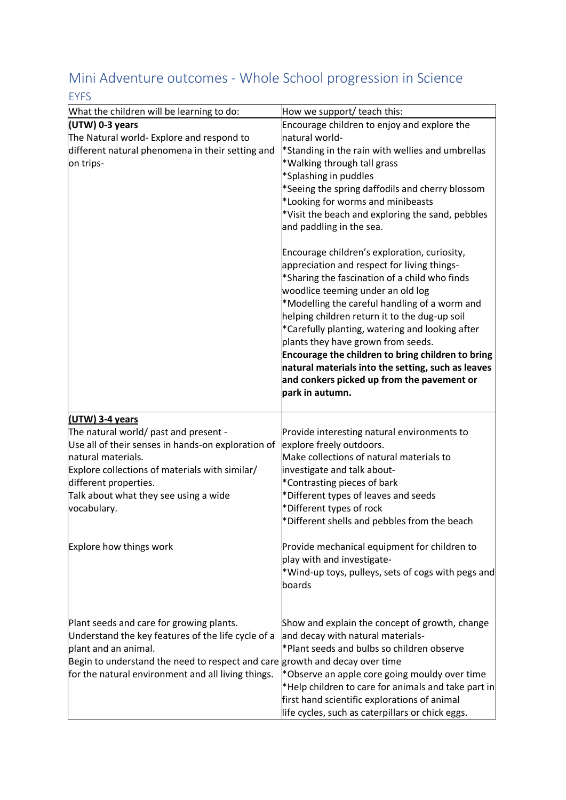# Mini Adventure outcomes - Whole School progression in Science

| <b>EYFS</b>                                                                 |                                                                                                                                                                                                                                                                                                                                                                                                                                                                                                                                                                                                                                                                                                                                                                             |
|-----------------------------------------------------------------------------|-----------------------------------------------------------------------------------------------------------------------------------------------------------------------------------------------------------------------------------------------------------------------------------------------------------------------------------------------------------------------------------------------------------------------------------------------------------------------------------------------------------------------------------------------------------------------------------------------------------------------------------------------------------------------------------------------------------------------------------------------------------------------------|
| What the children will be learning to do:                                   | How we support/ teach this:                                                                                                                                                                                                                                                                                                                                                                                                                                                                                                                                                                                                                                                                                                                                                 |
| (UTW) 0-3 years                                                             | Encourage children to enjoy and explore the                                                                                                                                                                                                                                                                                                                                                                                                                                                                                                                                                                                                                                                                                                                                 |
| The Natural world- Explore and respond to                                   | Inatural world-                                                                                                                                                                                                                                                                                                                                                                                                                                                                                                                                                                                                                                                                                                                                                             |
| different natural phenomena in their setting and<br>on trips-               | *Standing in the rain with wellies and umbrellas<br>*Walking through tall grass<br>*Splashing in puddles<br>*Seeing the spring daffodils and cherry blossom<br>*Looking for worms and minibeasts<br>*Visit the beach and exploring the sand, pebbles<br>and paddling in the sea.<br>Encourage children's exploration, curiosity,<br>appreciation and respect for living things-<br>*Sharing the fascination of a child who finds<br>woodlice teeming under an old log<br>*Modelling the careful handling of a worm and<br>helping children return it to the dug-up soil<br>*Carefully planting, watering and looking after<br>plants they have grown from seeds.<br>Encourage the children to bring children to bring<br>natural materials into the setting, such as leaves |
|                                                                             | and conkers picked up from the pavement or<br>park in autumn.                                                                                                                                                                                                                                                                                                                                                                                                                                                                                                                                                                                                                                                                                                               |
| (UTW) 3-4 years                                                             |                                                                                                                                                                                                                                                                                                                                                                                                                                                                                                                                                                                                                                                                                                                                                                             |
| The natural world/ past and present -                                       | Provide interesting natural environments to                                                                                                                                                                                                                                                                                                                                                                                                                                                                                                                                                                                                                                                                                                                                 |
| Use all of their senses in hands-on exploration of<br>natural materials.    | explore freely outdoors.<br>Make collections of natural materials to                                                                                                                                                                                                                                                                                                                                                                                                                                                                                                                                                                                                                                                                                                        |
| Explore collections of materials with similar/                              | investigate and talk about-                                                                                                                                                                                                                                                                                                                                                                                                                                                                                                                                                                                                                                                                                                                                                 |
| different properties.                                                       | *Contrasting pieces of bark                                                                                                                                                                                                                                                                                                                                                                                                                                                                                                                                                                                                                                                                                                                                                 |
| Talk about what they see using a wide                                       | *Different types of leaves and seeds                                                                                                                                                                                                                                                                                                                                                                                                                                                                                                                                                                                                                                                                                                                                        |
| vocabulary.                                                                 | *Different types of rock                                                                                                                                                                                                                                                                                                                                                                                                                                                                                                                                                                                                                                                                                                                                                    |
|                                                                             | *Different shells and pebbles from the beach                                                                                                                                                                                                                                                                                                                                                                                                                                                                                                                                                                                                                                                                                                                                |
| Explore how things work                                                     | Provide mechanical equipment for children to<br>play with and investigate-<br>*Wind-up toys, pulleys, sets of cogs with pegs and<br>boards                                                                                                                                                                                                                                                                                                                                                                                                                                                                                                                                                                                                                                  |
| Plant seeds and care for growing plants.                                    | Show and explain the concept of growth, change                                                                                                                                                                                                                                                                                                                                                                                                                                                                                                                                                                                                                                                                                                                              |
| Understand the key features of the life cycle of a                          | and decay with natural materials-                                                                                                                                                                                                                                                                                                                                                                                                                                                                                                                                                                                                                                                                                                                                           |
| plant and an animal.                                                        | *Plant seeds and bulbs so children observe                                                                                                                                                                                                                                                                                                                                                                                                                                                                                                                                                                                                                                                                                                                                  |
| Begin to understand the need to respect and care growth and decay over time |                                                                                                                                                                                                                                                                                                                                                                                                                                                                                                                                                                                                                                                                                                                                                                             |
| for the natural environment and all living things.                          | *Observe an apple core going mouldy over time<br>*Help children to care for animals and take part in<br>first hand scientific explorations of animal<br>life cycles, such as caterpillars or chick eggs.                                                                                                                                                                                                                                                                                                                                                                                                                                                                                                                                                                    |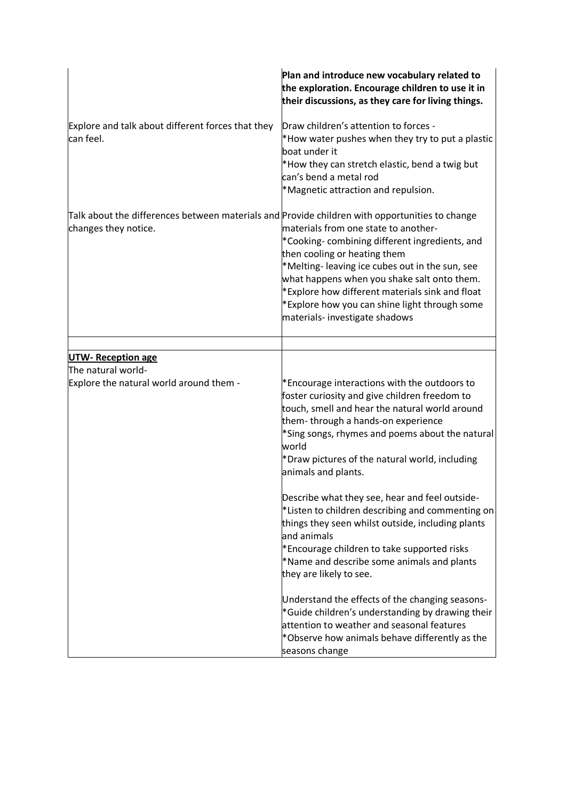|                                                                                                                        | Plan and introduce new vocabulary related to<br>the exploration. Encourage children to use it in<br>their discussions, as they care for living things.                                                                                                                                                                                                                                                                           |
|------------------------------------------------------------------------------------------------------------------------|----------------------------------------------------------------------------------------------------------------------------------------------------------------------------------------------------------------------------------------------------------------------------------------------------------------------------------------------------------------------------------------------------------------------------------|
| Explore and talk about different forces that they<br>can feel.                                                         | Draw children's attention to forces -<br>*How water pushes when they try to put a plastic<br>boat under it<br>*How they can stretch elastic, bend a twig but<br>can's bend a metal rod<br>*Magnetic attraction and repulsion.                                                                                                                                                                                                    |
| Talk about the differences between materials and Provide children with opportunities to change<br>changes they notice. | materials from one state to another-<br>*Cooking-combining different ingredients, and<br>then cooling or heating them<br>*Melting-leaving ice cubes out in the sun, see<br>what happens when you shake salt onto them.<br>*Explore how different materials sink and float<br>*Explore how you can shine light through some<br>materials- investigate shadows                                                                     |
|                                                                                                                        |                                                                                                                                                                                                                                                                                                                                                                                                                                  |
| <b>UTW-Reception age</b><br>The natural world-<br>Explore the natural world around them -                              | *Encourage interactions with the outdoors to<br>foster curiosity and give children freedom to<br>touch, smell and hear the natural world around<br>them-through a hands-on experience<br>*Sing songs, rhymes and poems about the natural<br>world<br>*Draw pictures of the natural world, including<br>animals and plants.<br>Describe what they see, hear and feel outside-<br>*Listen to children describing and commenting on |
|                                                                                                                        | things they seen whilst outside, including plants<br>and animals<br>*Encourage children to take supported risks<br>*Name and describe some animals and plants<br>they are likely to see.<br>Understand the effects of the changing seasons-<br>*Guide children's understanding by drawing their<br>attention to weather and seasonal features<br>*Observe how animals behave differently as the<br>seasons change                |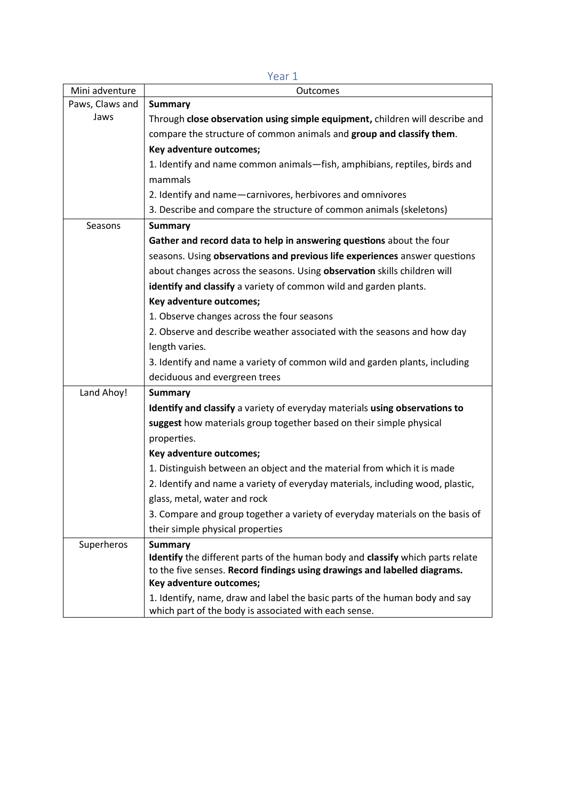|                 | ICAI T                                                                                                                               |
|-----------------|--------------------------------------------------------------------------------------------------------------------------------------|
| Mini adventure  | Outcomes                                                                                                                             |
| Paws, Claws and | <b>Summary</b>                                                                                                                       |
| Jaws            | Through close observation using simple equipment, children will describe and                                                         |
|                 | compare the structure of common animals and group and classify them.                                                                 |
|                 | Key adventure outcomes;                                                                                                              |
|                 | 1. Identify and name common animals-fish, amphibians, reptiles, birds and                                                            |
|                 | mammals                                                                                                                              |
|                 | 2. Identify and name-carnivores, herbivores and omnivores                                                                            |
|                 | 3. Describe and compare the structure of common animals (skeletons)                                                                  |
| Seasons         | <b>Summary</b>                                                                                                                       |
|                 | Gather and record data to help in answering questions about the four                                                                 |
|                 | seasons. Using observations and previous life experiences answer questions                                                           |
|                 | about changes across the seasons. Using observation skills children will                                                             |
|                 | identify and classify a variety of common wild and garden plants.                                                                    |
|                 | Key adventure outcomes;                                                                                                              |
|                 | 1. Observe changes across the four seasons                                                                                           |
|                 | 2. Observe and describe weather associated with the seasons and how day                                                              |
|                 | length varies.                                                                                                                       |
|                 | 3. Identify and name a variety of common wild and garden plants, including                                                           |
|                 | deciduous and evergreen trees                                                                                                        |
| Land Ahoy!      | <b>Summary</b>                                                                                                                       |
|                 | Identify and classify a variety of everyday materials using observations to                                                          |
|                 | suggest how materials group together based on their simple physical                                                                  |
|                 | properties.                                                                                                                          |
|                 | Key adventure outcomes;                                                                                                              |
|                 | 1. Distinguish between an object and the material from which it is made                                                              |
|                 | 2. Identify and name a variety of everyday materials, including wood, plastic,                                                       |
|                 | glass, metal, water and rock                                                                                                         |
|                 | 3. Compare and group together a variety of everyday materials on the basis of                                                        |
|                 | their simple physical properties                                                                                                     |
| Superheros      | <b>Summary</b>                                                                                                                       |
|                 | Identify the different parts of the human body and classify which parts relate                                                       |
|                 | to the five senses. Record findings using drawings and labelled diagrams.                                                            |
|                 | Key adventure outcomes;                                                                                                              |
|                 | 1. Identify, name, draw and label the basic parts of the human body and say<br>which part of the body is associated with each sense. |

Year 1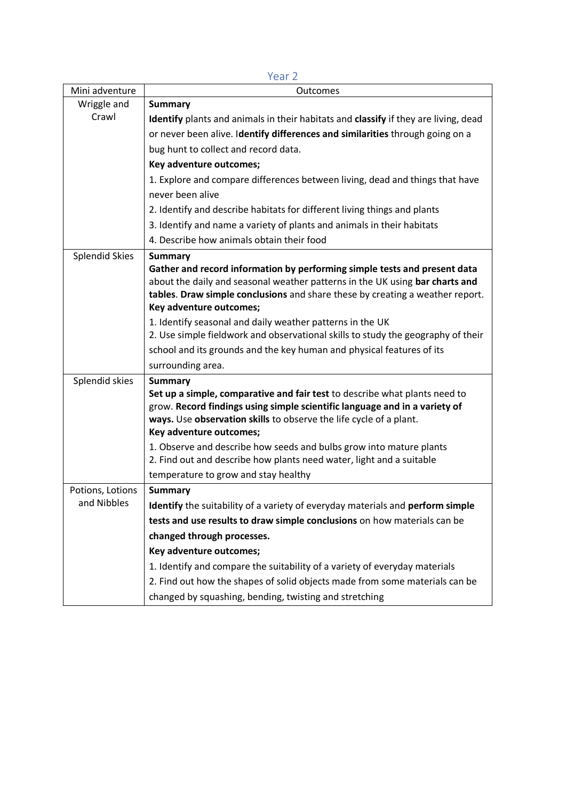|                       | 1 CU L                                                                                                   |
|-----------------------|----------------------------------------------------------------------------------------------------------|
| Mini adventure        | Outcomes                                                                                                 |
| Wriggle and           | <b>Summary</b>                                                                                           |
| Crawl                 | Identify plants and animals in their habitats and classify if they are living, dead                      |
|                       | or never been alive. Identify differences and similarities through going on a                            |
|                       | bug hunt to collect and record data.                                                                     |
|                       | Key adventure outcomes;                                                                                  |
|                       | 1. Explore and compare differences between living, dead and things that have                             |
|                       | never been alive                                                                                         |
|                       | 2. Identify and describe habitats for different living things and plants                                 |
|                       | 3. Identify and name a variety of plants and animals in their habitats                                   |
|                       | 4. Describe how animals obtain their food                                                                |
| <b>Splendid Skies</b> | <b>Summary</b>                                                                                           |
|                       | Gather and record information by performing simple tests and present data                                |
|                       | about the daily and seasonal weather patterns in the UK using bar charts and                             |
|                       | tables. Draw simple conclusions and share these by creating a weather report.<br>Key adventure outcomes; |
|                       | 1. Identify seasonal and daily weather patterns in the UK                                                |
|                       | 2. Use simple fieldwork and observational skills to study the geography of their                         |
|                       | school and its grounds and the key human and physical features of its                                    |
|                       | surrounding area.                                                                                        |
| Splendid skies        | <b>Summary</b>                                                                                           |
|                       | Set up a simple, comparative and fair test to describe what plants need to                               |
|                       | grow. Record findings using simple scientific language and in a variety of                               |
|                       | ways. Use observation skills to observe the life cycle of a plant.<br>Key adventure outcomes;            |
|                       | 1. Observe and describe how seeds and bulbs grow into mature plants                                      |
|                       | 2. Find out and describe how plants need water, light and a suitable                                     |
|                       | temperature to grow and stay healthy                                                                     |
| Potions, Lotions      | <b>Summary</b>                                                                                           |
| and Nibbles           | Identify the suitability of a variety of everyday materials and perform simple                           |
|                       | tests and use results to draw simple conclusions on how materials can be                                 |
|                       | changed through processes.                                                                               |
|                       | Key adventure outcomes;                                                                                  |
|                       | 1. Identify and compare the suitability of a variety of everyday materials                               |
|                       | 2. Find out how the shapes of solid objects made from some materials can be                              |
|                       | changed by squashing, bending, twisting and stretching                                                   |

Year 2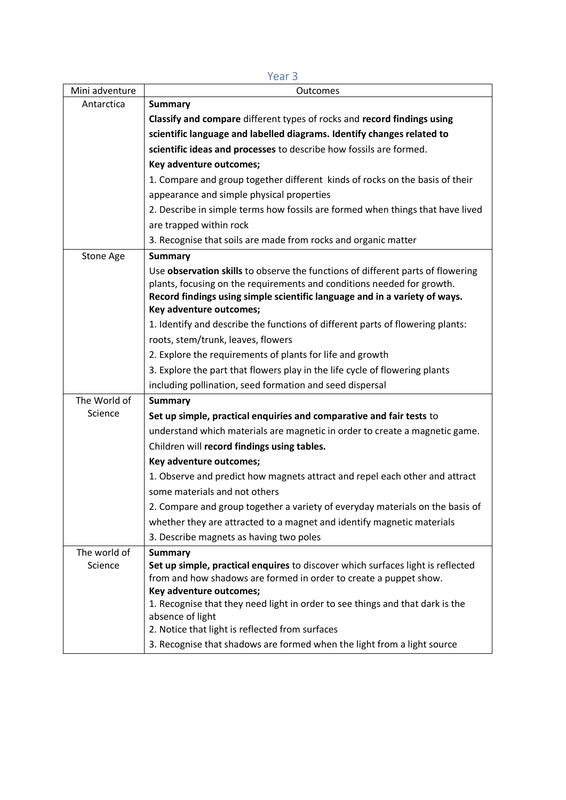|                | Year <sub>3</sub>                                                                                                                                                                                                                                                  |
|----------------|--------------------------------------------------------------------------------------------------------------------------------------------------------------------------------------------------------------------------------------------------------------------|
| Mini adventure | Outcomes                                                                                                                                                                                                                                                           |
| Antarctica     | <b>Summary</b>                                                                                                                                                                                                                                                     |
|                | Classify and compare different types of rocks and record findings using                                                                                                                                                                                            |
|                | scientific language and labelled diagrams. Identify changes related to                                                                                                                                                                                             |
|                | scientific ideas and processes to describe how fossils are formed.                                                                                                                                                                                                 |
|                | Key adventure outcomes;                                                                                                                                                                                                                                            |
|                | 1. Compare and group together different kinds of rocks on the basis of their                                                                                                                                                                                       |
|                | appearance and simple physical properties                                                                                                                                                                                                                          |
|                | 2. Describe in simple terms how fossils are formed when things that have lived                                                                                                                                                                                     |
|                | are trapped within rock                                                                                                                                                                                                                                            |
|                | 3. Recognise that soils are made from rocks and organic matter                                                                                                                                                                                                     |
| Stone Age      | <b>Summary</b>                                                                                                                                                                                                                                                     |
|                | Use observation skills to observe the functions of different parts of flowering<br>plants, focusing on the requirements and conditions needed for growth.<br>Record findings using simple scientific language and in a variety of ways.<br>Key adventure outcomes; |
|                | 1. Identify and describe the functions of different parts of flowering plants:                                                                                                                                                                                     |
|                | roots, stem/trunk, leaves, flowers                                                                                                                                                                                                                                 |
|                | 2. Explore the requirements of plants for life and growth                                                                                                                                                                                                          |
|                | 3. Explore the part that flowers play in the life cycle of flowering plants                                                                                                                                                                                        |
|                | including pollination, seed formation and seed dispersal                                                                                                                                                                                                           |
| The World of   | <b>Summary</b>                                                                                                                                                                                                                                                     |
| Science        | Set up simple, practical enquiries and comparative and fair tests to                                                                                                                                                                                               |
|                | understand which materials are magnetic in order to create a magnetic game.                                                                                                                                                                                        |
|                | Children will record findings using tables.                                                                                                                                                                                                                        |
|                | Key adventure outcomes;                                                                                                                                                                                                                                            |
|                | 1. Observe and predict how magnets attract and repel each other and attract                                                                                                                                                                                        |
|                | some materials and not others                                                                                                                                                                                                                                      |
|                | 2. Compare and group together a variety of everyday materials on the basis of                                                                                                                                                                                      |
|                | whether they are attracted to a magnet and identify magnetic materials                                                                                                                                                                                             |
|                | 3. Describe magnets as having two poles                                                                                                                                                                                                                            |
| The world of   | <b>Summary</b>                                                                                                                                                                                                                                                     |
| Science        | Set up simple, practical enquires to discover which surfaces light is reflected<br>from and how shadows are formed in order to create a puppet show.<br>Key adventure outcomes;                                                                                    |
|                | 1. Recognise that they need light in order to see things and that dark is the<br>absence of light                                                                                                                                                                  |
|                | 2. Notice that light is reflected from surfaces                                                                                                                                                                                                                    |
|                | 3. Recognise that shadows are formed when the light from a light source                                                                                                                                                                                            |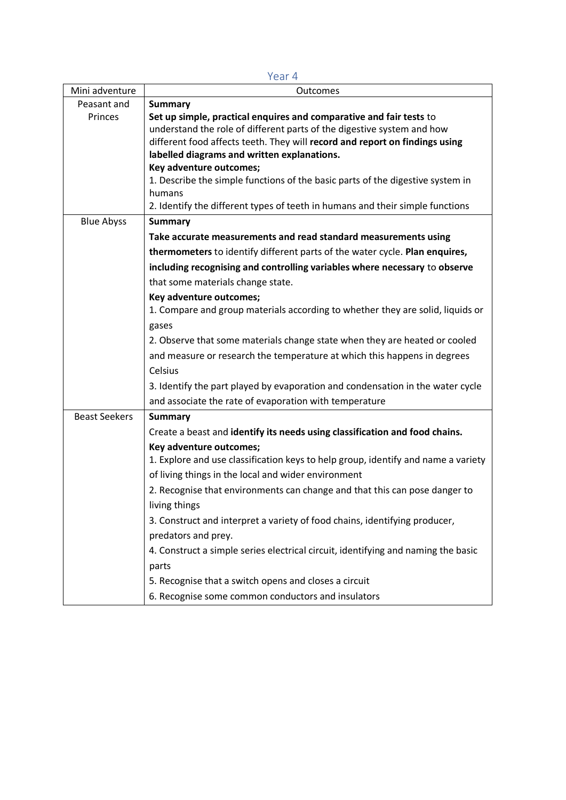|                      | Year 4                                                                                                                     |
|----------------------|----------------------------------------------------------------------------------------------------------------------------|
| Mini adventure       | Outcomes                                                                                                                   |
| Peasant and          | <b>Summary</b>                                                                                                             |
| Princes              | Set up simple, practical enquires and comparative and fair tests to                                                        |
|                      | understand the role of different parts of the digestive system and how                                                     |
|                      | different food affects teeth. They will record and report on findings using<br>labelled diagrams and written explanations. |
|                      | Key adventure outcomes;                                                                                                    |
|                      | 1. Describe the simple functions of the basic parts of the digestive system in                                             |
|                      | humans                                                                                                                     |
|                      | 2. Identify the different types of teeth in humans and their simple functions                                              |
| <b>Blue Abyss</b>    | <b>Summary</b>                                                                                                             |
|                      | Take accurate measurements and read standard measurements using                                                            |
|                      | thermometers to identify different parts of the water cycle. Plan enquires,                                                |
|                      | including recognising and controlling variables where necessary to observe                                                 |
|                      | that some materials change state.                                                                                          |
|                      | Key adventure outcomes;                                                                                                    |
|                      | 1. Compare and group materials according to whether they are solid, liquids or                                             |
|                      | gases                                                                                                                      |
|                      | 2. Observe that some materials change state when they are heated or cooled                                                 |
|                      | and measure or research the temperature at which this happens in degrees                                                   |
|                      | Celsius                                                                                                                    |
|                      | 3. Identify the part played by evaporation and condensation in the water cycle                                             |
|                      | and associate the rate of evaporation with temperature                                                                     |
| <b>Beast Seekers</b> | <b>Summary</b>                                                                                                             |
|                      | Create a beast and identify its needs using classification and food chains.                                                |
|                      | Key adventure outcomes;                                                                                                    |
|                      | 1. Explore and use classification keys to help group, identify and name a variety                                          |
|                      | of living things in the local and wider environment                                                                        |
|                      | 2. Recognise that environments can change and that this can pose danger to                                                 |
|                      | living things                                                                                                              |
|                      | 3. Construct and interpret a variety of food chains, identifying producer,                                                 |
|                      | predators and prey.                                                                                                        |
|                      | 4. Construct a simple series electrical circuit, identifying and naming the basic                                          |
|                      | parts                                                                                                                      |
|                      | 5. Recognise that a switch opens and closes a circuit                                                                      |
|                      | 6. Recognise some common conductors and insulators                                                                         |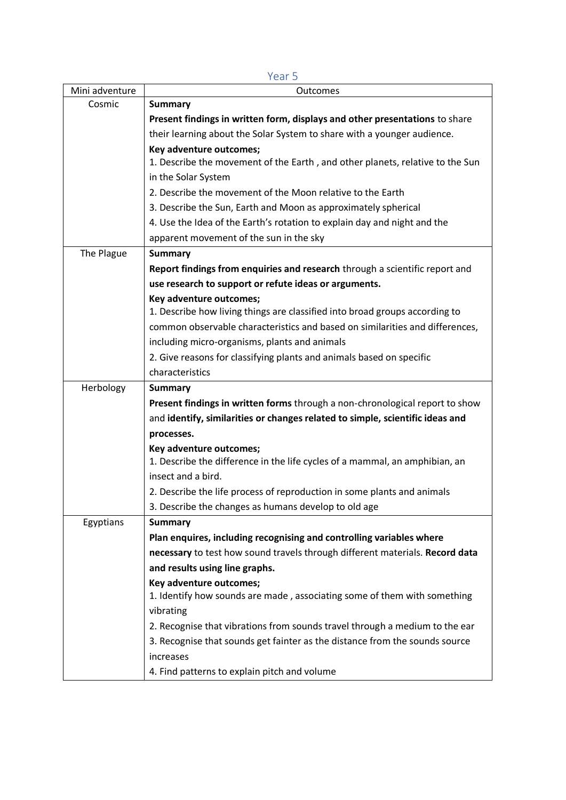| Mini adventure | 1 CUI J<br>Outcomes                                                           |
|----------------|-------------------------------------------------------------------------------|
| Cosmic         | <b>Summary</b>                                                                |
|                | Present findings in written form, displays and other presentations to share   |
|                | their learning about the Solar System to share with a younger audience.       |
|                | Key adventure outcomes;                                                       |
|                | 1. Describe the movement of the Earth, and other planets, relative to the Sun |
|                | in the Solar System                                                           |
|                | 2. Describe the movement of the Moon relative to the Earth                    |
|                | 3. Describe the Sun, Earth and Moon as approximately spherical                |
|                | 4. Use the Idea of the Earth's rotation to explain day and night and the      |
|                | apparent movement of the sun in the sky                                       |
| The Plague     | <b>Summary</b>                                                                |
|                | Report findings from enquiries and research through a scientific report and   |
|                | use research to support or refute ideas or arguments.                         |
|                | Key adventure outcomes;                                                       |
|                | 1. Describe how living things are classified into broad groups according to   |
|                | common observable characteristics and based on similarities and differences,  |
|                | including micro-organisms, plants and animals                                 |
|                | 2. Give reasons for classifying plants and animals based on specific          |
|                | characteristics                                                               |
| Herbology      | <b>Summary</b>                                                                |
|                | Present findings in written forms through a non-chronological report to show  |
|                | and identify, similarities or changes related to simple, scientific ideas and |
|                | processes.                                                                    |
|                | Key adventure outcomes;                                                       |
|                | 1. Describe the difference in the life cycles of a mammal, an amphibian, an   |
|                | insect and a bird.                                                            |
|                | 2. Describe the life process of reproduction in some plants and animals       |
|                | 3. Describe the changes as humans develop to old age                          |
| Egyptians      | <b>Summary</b>                                                                |
|                | Plan enquires, including recognising and controlling variables where          |
|                | necessary to test how sound travels through different materials. Record data  |
|                | and results using line graphs.                                                |
|                | Key adventure outcomes;                                                       |
|                | 1. Identify how sounds are made, associating some of them with something      |
|                | vibrating                                                                     |
|                | 2. Recognise that vibrations from sounds travel through a medium to the ear   |
|                | 3. Recognise that sounds get fainter as the distance from the sounds source   |
|                | increases                                                                     |
|                | 4. Find patterns to explain pitch and volume                                  |

Year 5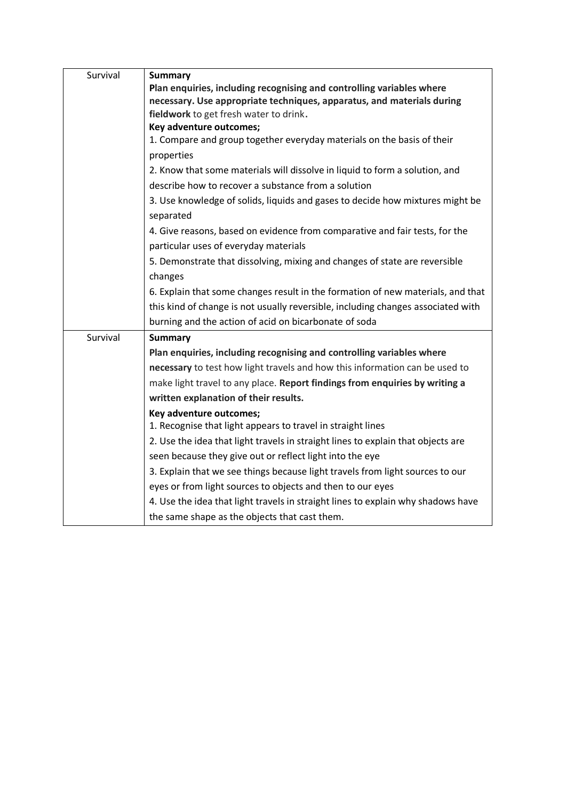| Survival | <b>Summary</b>                                                                                                       |
|----------|----------------------------------------------------------------------------------------------------------------------|
|          | Plan enquiries, including recognising and controlling variables where                                                |
|          | necessary. Use appropriate techniques, apparatus, and materials during                                               |
|          | fieldwork to get fresh water to drink.                                                                               |
|          | Key adventure outcomes;                                                                                              |
|          | 1. Compare and group together everyday materials on the basis of their                                               |
|          | properties                                                                                                           |
|          | 2. Know that some materials will dissolve in liquid to form a solution, and                                          |
|          | describe how to recover a substance from a solution                                                                  |
|          | 3. Use knowledge of solids, liquids and gases to decide how mixtures might be<br>separated                           |
|          | 4. Give reasons, based on evidence from comparative and fair tests, for the<br>particular uses of everyday materials |
|          | 5. Demonstrate that dissolving, mixing and changes of state are reversible                                           |
|          | changes                                                                                                              |
|          | 6. Explain that some changes result in the formation of new materials, and that                                      |
|          | this kind of change is not usually reversible, including changes associated with                                     |
|          | burning and the action of acid on bicarbonate of soda                                                                |
| Survival | <b>Summary</b>                                                                                                       |
|          | Plan enquiries, including recognising and controlling variables where                                                |
|          | necessary to test how light travels and how this information can be used to                                          |
|          | make light travel to any place. Report findings from enquiries by writing a                                          |
|          | written explanation of their results.                                                                                |
|          | Key adventure outcomes;                                                                                              |
|          | 1. Recognise that light appears to travel in straight lines                                                          |
|          | 2. Use the idea that light travels in straight lines to explain that objects are                                     |
|          | seen because they give out or reflect light into the eye                                                             |
|          | 3. Explain that we see things because light travels from light sources to our                                        |
|          | eyes or from light sources to objects and then to our eyes                                                           |
|          | 4. Use the idea that light travels in straight lines to explain why shadows have                                     |
|          | the same shape as the objects that cast them.                                                                        |